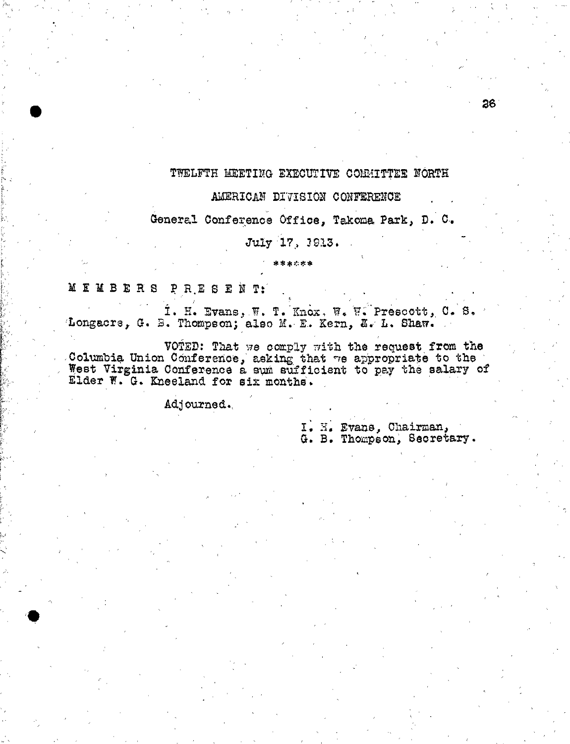## TWELFTH MEETING EXECUTIVE COMMITTEE NORTH

### AMERICAN DIVISION CONFERENCE

General Conference Office, Takoma Park, D. C.

# July :17; 3913.

\*\*\*\*\*\*

MEMBERS PRESENT:

•

I. H. Evans; W. T. Knox, W, 7. Prescott, C. S. Longacre, G. B. Thompson; also M. E. Kern, E. L. Shaw.

VOTED: That we comply with the request from the Columbia Union Conference, asking that -70 appropriate to the West Virginia Conference a sum sufficient to pay the salary of Elder F. G. Kneeland for six months.

Adjourned.,

I. H. Evans, Chairman, G. B. Thompson, Secretary.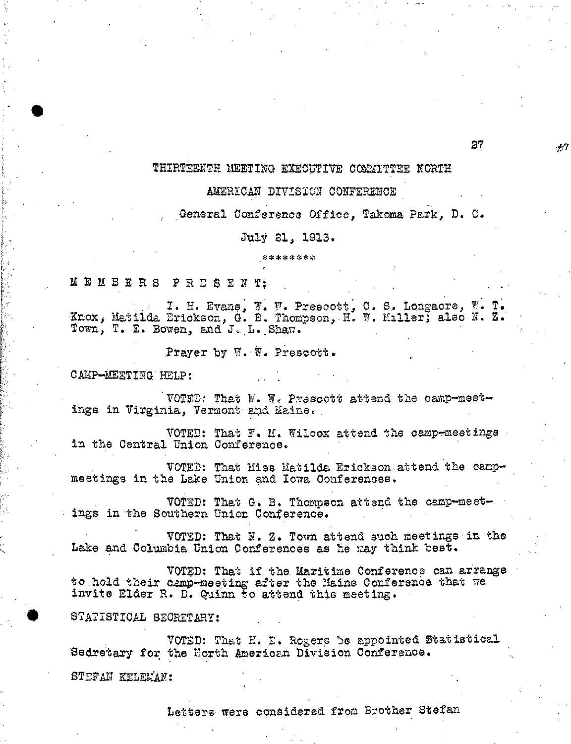# THIRTEENTH MEETING EXECUTIVE COMMITTEE NORTH

#### AMERICAN DIVISION CONFERENCE

General Conference Office, Takoma Park, D. C.

July 21, 1913.

\*\*\*\*\*\*\*

MEMBERS PR.ESEN T;

I. H. Evane, F. F. Prescott, C. S, Longacre, W. T. Inox, Matilda Erickson, G. B. Thompson,, H. W. Miller; also N. Z.' Town, T. E. Bowen, and J,.L.,Shaw.

Prayer by W. W. Prescott.

CAMP-MEETING:HELP:

VOTED: That  $W = W_c$  Prescott attend the camp-meetings in Virginia, Vermont and Maine.,

VOTED: That F. M. Wilcox attend the camp-meetings in the Central Union Conference.

VOTED: That Miss Matilda Erickson attend the campmeetings in the Lake Union and Iowa Conferences.

VOTED: That G. B. Thompson attend the camp-meetings in'the Southern Union Conference.

VOTED: That N. Z. Town attend such meetings in the Lake and Columbia Union Conferences as he may think best.

VOTED; That if the Maritime Conference can arrange to.hold their camp-meeting after the Maine Conference that we invite Elder R. D. Quinn to attend this meeting.

STATISTICAL SECRETARY:

VOTED: That K. E. Rogers be appointed Statistical Sedretary for the North American Division Conference.

STEFAII KELEMAF:

Lettere, were considered from Brother Stefan

27

 $\#T$